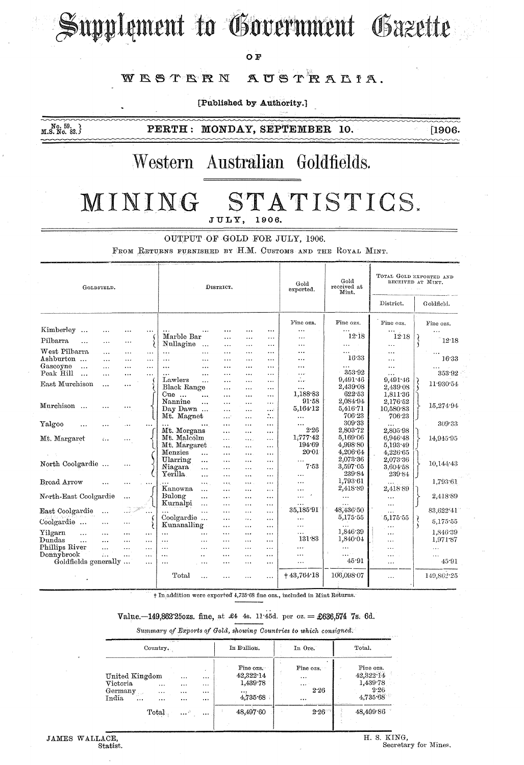# Supplement to Government Gazette

OF

#### AUSTRALIA. WESTERN

[Published by Authority.]

 $M.S. N0. 59.$ <br> $M.S. N0. 82.$ 

PERTH: MONDAY, SEPTEMBER 10.

 $[1906.$ 

### Western Australian Goldfields.

#### MINING STATISTICS. JULY, 1906.

OUTPUT OF GOLD FOR JULY, 1906.

FROM RETURNS FURNISHED BY H.M. CUSTOMS AND THE ROYAL MINT.

| GOLDFIELD.                            |                      |                       |                      | DISTRICT.               |                       |                            |                       |                        | Gold<br>exported.      | Gold<br>received at<br>Mint. | TOTAL GOLD EXPORTED AND<br>RECEIVED AT MINT.<br>$\sim 10^{-1}$ .<br>$\sim$ |  |            |
|---------------------------------------|----------------------|-----------------------|----------------------|-------------------------|-----------------------|----------------------------|-----------------------|------------------------|------------------------|------------------------------|----------------------------------------------------------------------------|--|------------|
|                                       |                      |                       |                      |                         |                       |                            |                       |                        |                        |                              | District.                                                                  |  | Goldfield. |
|                                       |                      |                       |                      |                         |                       |                            |                       |                        | Fine ozs.              | Fine ozs.                    | Fine ozs.                                                                  |  | Fine ozs.  |
| Kimberley<br>$\ddotsc$                | $\ddotsc$            | .                     | $\ddotsc$            |                         |                       |                            | $\cdots$              | $\cdots$               | $\cdots$               |                              |                                                                            |  |            |
| Pilbarra<br>$\ddotsc$                 |                      | $\cdot$               |                      | Marble Bar              |                       | $\cdots$                   |                       |                        | $\cdots$               | 12.18                        | 12 18                                                                      |  | 12.18      |
| West Pilbarra                         |                      |                       |                      | Nullagine               | $\ddotsc$             | $\ldots$                   | $\cdots$              | $\cdots$               | $\cdots$               | .<br>$\cdots$                | $\cdots$                                                                   |  |            |
| Ashburton                             | $\cdots$<br>$\cdots$ | $\ddotsc$<br>$\cdots$ | $\cdots$<br>$\cdots$ | $\ddotsc$<br>$\ddotsc$  | $\cdots$<br>$\cdots$  | $\overline{a}$<br>$\cdots$ | $\ddotsc$<br>$\cdots$ | $\cdots$<br>$\cdots$   | $\cdots$<br>$\cdots$   | 16.33                        | $\cdots$<br>$\cdots$                                                       |  | 16:33      |
| Gascoyne<br>$\ddotsc$                 | $\cdots$             | $\cdots$              | $\ddotsc$            | $\cdots$                | $\cdots$              | $\ddotsc$                  |                       | $\cdots$               | .                      |                              |                                                                            |  |            |
| Peak Hill<br>$\overline{\phantom{a}}$ | $\cdots$             | $\cdots$              | $\cdots$             | $\cdots$                | $\ddotsc$             | .                          | $\cdots$              | $\cdots$               | $\sim$ $\sim$ $\sim$   | 353.92                       | $\cdots$                                                                   |  | 353.92     |
| East Murchison                        |                      |                       |                      | Lawlers                 | $\ddotsc$             | $\overline{a}$             | $\cdots$              | $\ddotsc$              | $\cdots$               | 9,491.46                     | 9.491.46                                                                   |  |            |
|                                       | $\ddot{\phantom{a}}$ | $\cdots$              |                      | Black Range             |                       | $\cdots$                   | $\cdots$              | $\cdots$               | $\cdots$               | 2,439.08                     | 2,439 08                                                                   |  | 11.930.54  |
|                                       |                      |                       |                      | $Cue$                   | $\ddotsc$             | $\cdots$                   | $\ddotsc$             | $\ddotsc$              | 1,188.83               | $622 - 53$                   | 1,811.36                                                                   |  |            |
| Murchison                             |                      |                       |                      | Nannine                 | .                     | $\ddotsc$                  | $\ddotsc$             | $\cdots$               | 91.58                  | 2,084.94                     | 2,176.52                                                                   |  | 15,274.94  |
|                                       |                      |                       |                      | Day Dawn                |                       | $\cdots$                   | $\cdots$              | $\cdots$               | 5,164.12               | 5,416.71                     | 10,580.83                                                                  |  |            |
|                                       |                      |                       |                      | Mt. Magnet              |                       | $\cdots$                   | $\ddotsc$             | $\mathbb{Z}_{\bullet}$ | $\cdots$               | 706.23                       | 706.23                                                                     |  |            |
| Yalgoo                                |                      |                       | $\ddotsc$            |                         |                       | $\cdots$                   | $\cdots$              | $\cdots$               | 2.26                   | 309.33                       |                                                                            |  | 309.33     |
|                                       |                      |                       |                      | Mt. Morgans             |                       | $\sim$                     | $\cdots$              | $\cdots$               | $1.777 \cdot 42$       | $2.803 - 72$                 | 2.805.98                                                                   |  |            |
| Mt. Margaret                          | $\epsilon$ .         | $\cdots$              |                      | Mt. Malcolm             |                       | $\cdots$                   | $\cdots$              | .                      | 194.69                 | 5,169.06<br>4,998 80         | 6,946.48                                                                   |  | 14,945.95  |
|                                       |                      |                       |                      | Mt. Margaret<br>Menzies |                       |                            |                       | $\cdots$               | 20.01                  | 4,206.64                     | 5,193.49                                                                   |  |            |
|                                       |                      |                       |                      | Ularring                | $\cdots$              | $\cdots$                   | $\cdots$              | $\cdots$               |                        | 2,073.36                     | 4,226.65<br>2,073.36                                                       |  |            |
| North Coolgardie                      |                      |                       |                      | Niagara                 | $\cdots$              | $\cdots$                   | .                     | $\cdots$               | 7.53                   | 3,597.05                     | 3,604.58                                                                   |  | 10,144:43  |
|                                       |                      |                       |                      | Yerilla                 | $\ddotsc$             | $\cdots$                   | $\ddotsc$             | $\ddotsc$              |                        | 239.84                       | 239.84                                                                     |  |            |
| Broad Arrow                           |                      |                       |                      |                         | .                     | $\cdots$                   |                       | $\cdots$               | $\cdots$               | 1,793.61                     |                                                                            |  | 1,793.61   |
|                                       | $\ddotsc$            | $\cdots$              |                      | Kanowna                 | $\cdots$<br>$\ddotsc$ | <br>$\cdots$               | $\cdots$<br>.         | $\cdots$<br>$\ddotsc$  | $\cdots$               | 2,418.89                     | $\cdots$<br>2,418.89                                                       |  |            |
| North-East Coolgardie                 |                      | $\ddotsc$             |                      | Bulong                  | $\cdots$              | $\cdots$                   | $\cdots$              | $\cdots$               | $\epsilon$<br>$\cdots$ | $\cdots$                     | $\ddotsc$                                                                  |  | 2,418.89   |
|                                       |                      |                       |                      | Kurnalpi                | $\ddotsc$             | $\cdots$                   | $\cdots$              | $\cdots$               | $\ddotsc$              | $\cdots$                     | $\ddotsc$                                                                  |  |            |
| East Coolgardie                       | $\ddotsc$            |                       |                      |                         | $\ddotsc$             | $\cdots$                   | .                     | .                      | 35,185 91              | 48,436'50                    | $\cdots$                                                                   |  | 83,622 41  |
|                                       |                      |                       |                      | Coolgardie              |                       | $\cdots$                   |                       | $\cdots$               | $\cdots$               | 5,175.55                     | 5,175.55                                                                   |  |            |
| Coolgardie                            |                      |                       |                      | Kunanalling             |                       | $\cdots$                   |                       | $\cdots$               | $\cdots$               |                              | $\ddotsc$                                                                  |  | 5,175.55   |
| Yilgarn<br>$\ddots$                   | $\cdots$             | .                     | $\cdots$             | $\cdots$                | $\ddotsc$             | $\cdots$                   | المحد                 | $\cdots$               | $\cdots$               | 1,846:39                     | $\cdots$                                                                   |  | 1,846.39   |
| Dundas<br>$\ddotsc$                   | $\ddotsc$            | $\ddotsc$             | $\cdots$             | $\cdots$                | $\cdots$              | $\cdots$                   | $\cdots$              | $\cdots$               | 131.83                 | 1,840.04                     | $\cdots$                                                                   |  | 1,971.87   |
| Phillips River                        | $\cdots$             | $\cdots$              | $\cdots$             | $\cdots$                | $\cdots$              | $\cdots$                   | .                     |                        | $\cdots$               | $\cdots$                     | $\cdots$                                                                   |  | $\ddotsc$  |
| Donnybrook                            | $\ddotsc$            | $\ddotsc$             | $\cdots$             | $\ddotsc$<br>$\ddotsc$  |                       | $\cdots$                   | .                     | $\cdots$               | $\cdots$               | 1.111                        | .                                                                          |  | $\cdots$   |
| Goldfields generally                  |                      |                       | $\cdots$             | $\cdots$<br>$\cdots$    |                       | $\cdot$                    | $\ddotsc$             | $\ldots$               | $\cdots$               | 45.91                        | $\cdots$                                                                   |  | 45.91      |
|                                       |                      |                       |                      | Total                   |                       |                            | $\ddotsc$             | $\cdots$               | $+43,764.18$           | 106,098.07                   | $\cdots$                                                                   |  | 149,862.25 |

+ In addition were exported 4,735.68 fine ozs., included in Mint Returns.

#### Value.-149,862.250zs. fine, at £4 4s. 11:45d. per oz. = £636,574 7s. 6d.

Summary of Exports of Gold, showing Countries to which consigned.

| <b>CONTRACTOR</b><br>Country.                              |                           |                              |                                      |  | In Bullion.                                        | In Ore.<br>.                                       | Total.<br><b>Contract Contract Contract</b> |                                                        |  |
|------------------------------------------------------------|---------------------------|------------------------------|--------------------------------------|--|----------------------------------------------------|----------------------------------------------------|---------------------------------------------|--------------------------------------------------------|--|
| United Kingdom<br>Victoria<br>Germany<br>India<br>$\cdots$ | $\cdots$<br>$\ddotsc$<br> | $\cdots$<br><br><br>$\cdots$ | $\cdots$<br>$\cdots$<br>$\cdots$<br> |  | Fine ozs.<br>42,322.14<br>1,439.78<br><br>4,735.68 | Fine ozs.<br><br>$\cdots$<br>2.26<br>              | and a community of the                      | Fine ozs.<br>42,322.14<br>1,439.78<br>2.26<br>4,735.68 |  |
|                                                            | Total.                    | $\cdots$                     |                                      |  | 48,497.60                                          | project with the part particles before the<br>2.26 |                                             | 48,499.86                                              |  |

JAMES WALLACE, Statist. H. S. KING, Secretary for Mines,